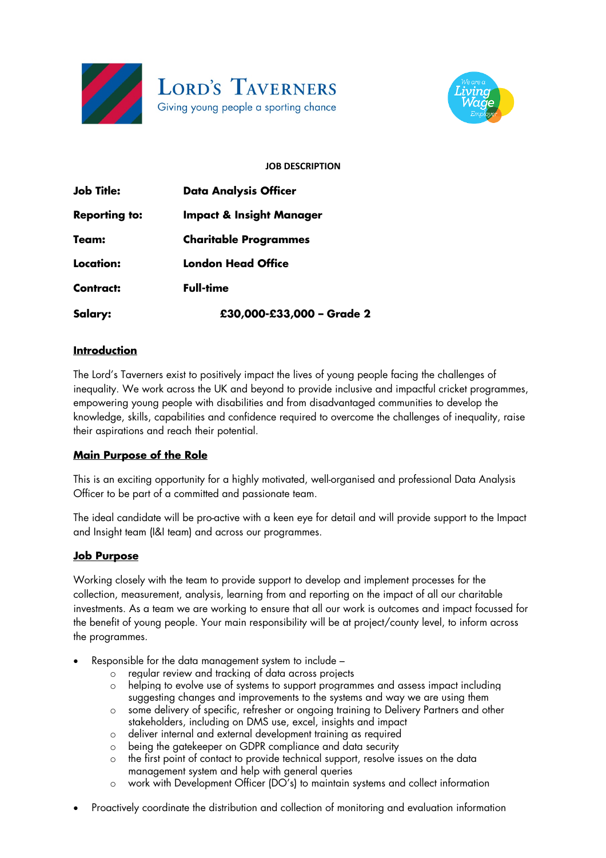



## **JOB DESCRIPTION**

| <b>Job Title:</b>    | <b>Data Analysis Officer</b>        |
|----------------------|-------------------------------------|
| <b>Reporting to:</b> | <b>Impact &amp; Insight Manager</b> |
| Team:                | <b>Charitable Programmes</b>        |
| Location:            | London Head Office                  |
| <b>Contract:</b>     | Full-time                           |
| Salary:              | £30,000-£33,000 - Grade 2           |

## **Introduction**

The Lord's Taverners exist to positively impact the lives of young people facing the challenges of inequality. We work across the UK and beyond to provide inclusive and impactful cricket programmes, empowering young people with disabilities and from disadvantaged communities to develop the knowledge, skills, capabilities and confidence required to overcome the challenges of inequality, raise their aspirations and reach their potential.

## **Main Purpose of the Role**

This is an exciting opportunity for a highly motivated, well-organised and professional Data Analysis Officer to be part of a committed and passionate team.

The ideal candidate will be pro-active with a keen eye for detail and will provide support to the Impact and Insight team (I&I team) and across our programmes.

#### **Job Purpose**

Working closely with the team to provide support to develop and implement processes for the collection, measurement, analysis, learning from and reporting on the impact of all our charitable investments. As a team we are working to ensure that all our work is outcomes and impact focussed for the benefit of young people. Your main responsibility will be at project/county level, to inform across the programmes.

- Responsible for the data management system to include
	- o regular review and tracking of data across projects
	- o helping to evolve use of systems to support programmes and assess impact including suggesting changes and improvements to the systems and way we are using them
	- o some delivery of specific, refresher or ongoing training to Delivery Partners and other stakeholders, including on DMS use, excel, insights and impact
	- o deliver internal and external development training as required
	- o being the gatekeeper on GDPR compliance and data security
	- o the first point of contact to provide technical support, resolve issues on the data management system and help with general queries
	- o work with Development Officer (DO's) to maintain systems and collect information
- Proactively coordinate the distribution and collection of monitoring and evaluation information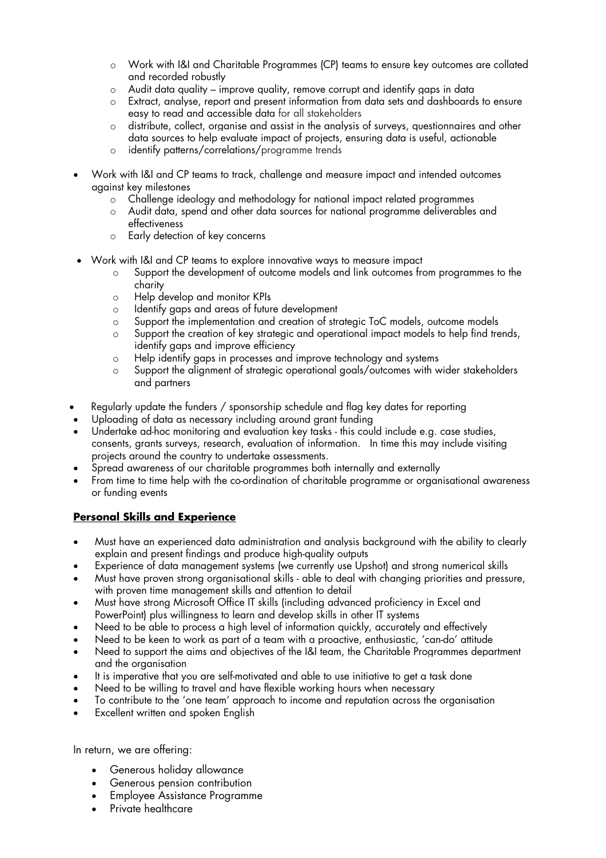- o Work with I&I and Charitable Programmes (CP) teams to ensure key outcomes are collated and recorded robustly
- $\circ$  Audit data quality improve quality, remove corrupt and identify gaps in data
- o Extract, analyse, report and present information from data sets and dashboards to ensure easy to read and accessible data for all stakeholders
- $\circ$  distribute, collect, organise and assist in the analysis of surveys, questionnaires and other data sources to help evaluate impact of projects, ensuring data is useful, actionable
- o identify patterns/correlations/programme trends
- Work with I&I and CP teams to track, challenge and measure impact and intended outcomes against key milestones
	- o Challenge ideology and methodology for national impact related programmes
	- o Audit data, spend and other data sources for national programme deliverables and effectiveness
	- o Early detection of key concerns
- Work with I&I and CP teams to explore innovative ways to measure impact
	- o Support the development of outcome models and link outcomes from programmes to the charity
	- o Help develop and monitor KPIs
	- o Identify gaps and areas of future development
	- o Support the implementation and creation of strategic ToC models, outcome models
	- o Support the creation of key strategic and operational impact models to help find trends, identify gaps and improve efficiency
	- o Help identify gaps in processes and improve technology and systems
	- o Support the alignment of strategic operational goals/outcomes with wider stakeholders and partners
- Regularly update the funders / sponsorship schedule and flag key dates for reporting
- Uploading of data as necessary including around grant funding
- Undertake ad-hoc monitoring and evaluation key tasks this could include e.g. case studies, consents, grants surveys, research, evaluation of information. In time this may include visiting projects around the country to undertake assessments.
- Spread awareness of our charitable programmes both internally and externally
- From time to time help with the co-ordination of charitable programme or organisational awareness or funding events

# **Personal Skills and Experience**

- Must have an experienced data administration and analysis background with the ability to clearly explain and present findings and produce high-quality outputs
- Experience of data management systems (we currently use Upshot) and strong numerical skills
- Must have proven strong organisational skills able to deal with changing priorities and pressure, with proven time management skills and attention to detail
- Must have strong Microsoft Office IT skills (including advanced proficiency in Excel and PowerPoint) plus willingness to learn and develop skills in other IT systems
- Need to be able to process a high level of information quickly, accurately and effectively
- Need to be keen to work as part of a team with a proactive, enthusiastic, 'can-do' attitude
- Need to support the aims and objectives of the I&I team, the Charitable Programmes department and the organisation
- It is imperative that you are self-motivated and able to use initiative to get a task done
- Need to be willing to travel and have flexible working hours when necessary
- To contribute to the 'one team' approach to income and reputation across the organisation
- Excellent written and spoken English

In return, we are offering:

- Generous holiday allowance
- Generous pension contribution
- Employee Assistance Programme
- Private healthcare